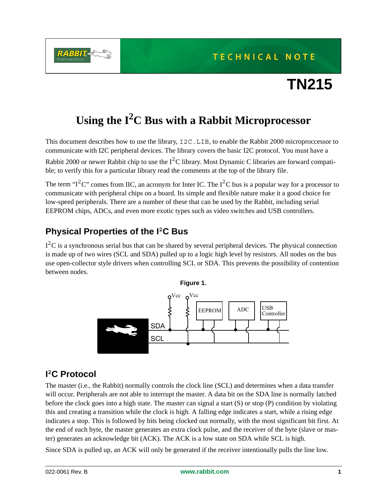**TECHNICAL NOTE** 



# **TN215**

## **Using the I2C Bus with a Rabbit Microprocessor**

This document describes how to use the library, I2C.LIB, to enable the Rabbit 2000 microproccessor to communicate with I2C peripheral devices. The library covers the basic I2C protocol. You must have a Rabbit 2000 or newer Rabbit chip to use the  $I^2C$  library. Most Dynamic C libraries are forward compatible; to verify this for a particular library read the comments at the top of the library file.

The term " $1^2C$ " comes from IIC, an acronym for Inter IC. The  $1^2C$  bus is a popular way for a processor to communicate with peripheral chips on a board. Its simple and flexible nature make it a good choice for low-speed peripherals. There are a number of these that can be used by the Rabbit, including serial EEPROM chips, ADCs, and even more exotic types such as video switches and USB controllers.

#### **Physical Properties of the I<sup>2</sup>C Bus**

 $I<sup>2</sup>C$  is a synchronous serial bus that can be shared by several peripheral devices. The physical connection is made up of two wires (SCL and SDA) pulled up to a logic high level by resistors. All nodes on the bus use open-collector style drivers when controlling SCL or SDA. This prevents the possibility of contention between nodes.



#### **I <sup>2</sup>C Protocol**

The master (i.e., the Rabbit) normally controls the clock line (SCL) and determines when a data transfer will occur. Peripherals are not able to interrupt the master. A data bit on the SDA line is normally latched before the clock goes into a high state. The master can signal a start (S) or stop (P) condition by violating this and creating a transition while the clock is high. A falling edge indicates a start, while a rising edge indicates a stop. This is followed by bits being clocked out normally, with the most significant bit first. At the end of each byte, the master generates an extra clock pulse, and the receiver of the byte (slave or master) generates an acknowledge bit (ACK). The ACK is a low state on SDA while SCL is high.

Since SDA is pulled up, an ACK will only be generated if the receiver intentionally pulls the line low.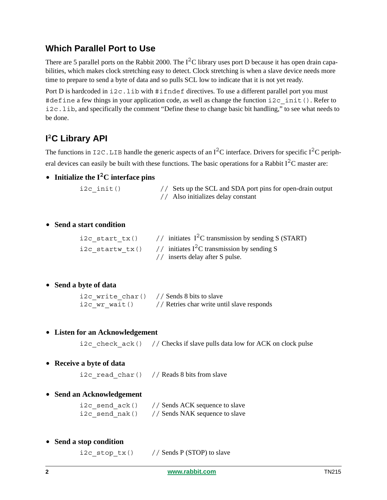#### **Which Parallel Port to Use**

There are 5 parallel ports on the Rabbit 2000. The  $I<sup>2</sup>C$  library uses port D because it has open drain capabilities, which makes clock stretching easy to detect. Clock stretching is when a slave device needs more time to prepare to send a byte of data and so pulls SCL low to indicate that it is not yet ready.

Port D is hardcoded in  $i2c$ . lib with  $\#\text{ifndef}$  directives. To use a different parallel port you must #define a few things in your application code, as well as change the function i2c init(). Refer to i2c.lib, and specifically the comment "Define these to change basic bit handling," to see what needs to be done.

#### **I <sup>2</sup>C Library API**

The functions in  $\text{I2C}$ . LIB handle the generic aspects of an  $I^2C$  interface. Drivers for specific  $I^2C$  peripheral devices can easily be built with these functions. The basic operations for a Rabbit  $I<sup>2</sup>C$  master are:

**• Initialize the I2C interface pins**

i2c init() // Sets up the SCL and SDA port pins for open-drain output // Also initializes delay constant

#### **• Send a start condition**

|  | i2c start tx() $//$ initiates I <sup>2</sup> C transmission by sending S (START) |
|--|----------------------------------------------------------------------------------|
|  | i2c startw tx() // initiates $I^2C$ transmission by sending S                    |
|  | // inserts delay after S pulse.                                                  |

**• Send a byte of data**

```
i2c write char() // Sends 8 bits to slave
i2c wr wait() // Retries char write until slave responds
```
**• Listen for an Acknowledgement**

i2c\_check\_ack() // Checks if slave pulls data low for ACK on clock pulse

**• Receive a byte of data**

i2c read char() // Reads 8 bits from slave

**• Send an Acknowledgement**

i2c send  $ack()$  // Sends ACK sequence to slave i2c\_send\_nak() // Sends NAK sequence to slave

**• Send a stop condition**

i2c stop  $tx()$  // Sends P (STOP) to slave